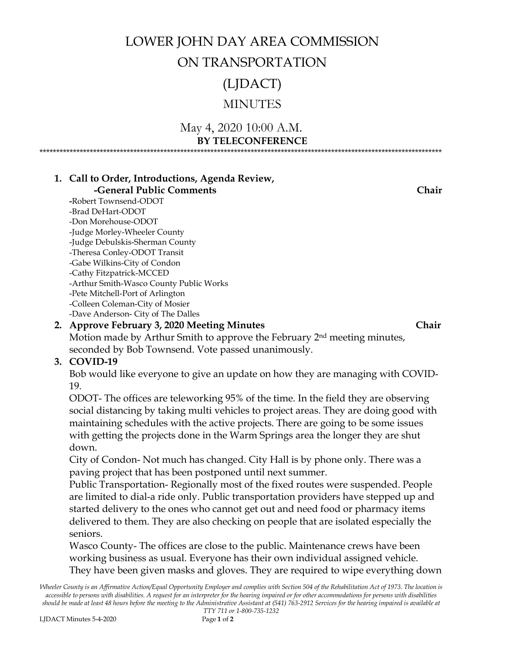### LOWER JOHN DAY AREA COMMISSION

### ON TRANSPORTATION

(LJDACT)

### MINUTES

#### May 4, 2020 10:00 A.M. **BY TELECONFERENCE** \*\*\*\*\*\*\*\*\*\*\*\*\*\*\*\*\*\*\*\*\*\*\*\*\*\*\*\*\*\*\*\*\*\*\*\*\*\*\*\*\*\*\*\*\*\*\*\*\*\*\*\*\*\*\*\*\*\*\*\*\*\*\*\*\*\*\*\*\*\*\*\*\*\*\*\*\*\*\*\*\*\*\*\*\*\*\*\*\*\*\*\*\*\*\*\*\*\*\*\*\*\*\*\*\*\*\*\*\*\*\*\*\*\*\*\*\*\*\*\*

**1. Call to Order, Introductions, Agenda Review,** 

### *<u><b>-General Public Comments</u>* Chair

**-**Robert Townsend-ODOT -Brad DeHart-ODOT -Don Morehouse-ODOT -Judge Morley-Wheeler County -Judge Debulskis-Sherman County -Theresa Conley-ODOT Transit -Gabe Wilkins-City of Condon -Cathy Fitzpatrick-MCCED -Arthur Smith-Wasco County Public Works -Pete Mitchell-Port of Arlington -Colleen Coleman-City of Mosier -Dave Anderson- City of The Dalles

### **2. Approve February 3, 2020 Meeting Minutes Chair**

Motion made by Arthur Smith to approve the February 2nd meeting minutes, seconded by Bob Townsend. Vote passed unanimously.

### **3. COVID-19**

Bob would like everyone to give an update on how they are managing with COVID-19.

ODOT- The offices are teleworking 95% of the time. In the field they are observing social distancing by taking multi vehicles to project areas. They are doing good with maintaining schedules with the active projects. There are going to be some issues with getting the projects done in the Warm Springs area the longer they are shut down.

City of Condon- Not much has changed. City Hall is by phone only. There was a paving project that has been postponed until next summer.

Public Transportation- Regionally most of the fixed routes were suspended. People are limited to dial-a ride only. Public transportation providers have stepped up and started delivery to the ones who cannot get out and need food or pharmacy items delivered to them. They are also checking on people that are isolated especially the seniors.

Wasco County- The offices are close to the public. Maintenance crews have been working business as usual. Everyone has their own individual assigned vehicle. They have been given masks and gloves. They are required to wipe everything down

*Wheeler County is an Affirmative Action/Equal Opportunity Employer and complies with Section 504 of the Rehabilitation Act of 1973. The location is accessible to persons with disabilities. A request for an interpreter for the hearing impaired or for other accommodations for persons with disabilities should be made at least 48 hours before the meeting to the Administrative Assistant at (541) 763-2912 Services for the hearing impaired is available at*